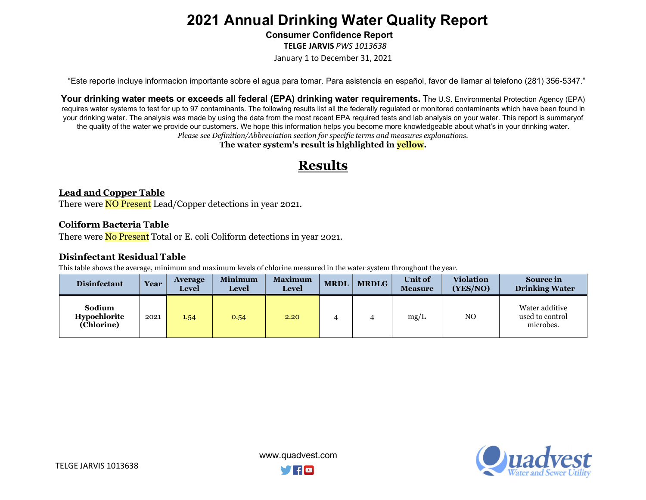Consumer Confidence Report

TELGE JARVIS PWS 1013638

January 1 to December 31, 2021

"Este reporte incluye informacion importante sobre el agua para tomar. Para asistencia en español, favor de llamar al telefono (281) 356-5347."

Your drinking water meets or exceeds all federal (EPA) drinking water requirements. The U.S. Environmental Protection Agency (EPA) requires water systems to test for up to 97 contaminants. The following results list all the federally regulated or monitored contaminants which have been found in your drinking water. The analysis was made by using the data from the most recent EPA required tests and lab analysis on your water. This report is summary of the quality of the water we provide our customers. We hope this information helps you become more knowledgeable about what's in your drinking water. Please see Definition/Abbreviation section for specific terms and measures explanations.

The water system's result is highlighted in **yellow**.

## Results

### Lead and Copper Table

There were **NO Present** Lead/Copper detections in year 2021.

### Coliform Bacteria Table

There were **No Present** Total or E. coli Coliform detections in year 2021.

### Disinfectant Residual Table

This table shows the average, minimum and maximum levels of chlorine measured in the water system throughout the year.

| <b>Disinfectant</b>                  | Year | <b>Average</b><br><b>Level</b> | <b>Minimum</b><br><b>Level</b> | <b>Maximum</b><br><b>Level</b> | <b>MRDL</b> | <b>MRDLG</b> | <b>Unit of</b><br><b>Measure</b> | <b>Violation</b><br>(YES/NO) | <b>Source in</b><br><b>Drinking Water</b>      |
|--------------------------------------|------|--------------------------------|--------------------------------|--------------------------------|-------------|--------------|----------------------------------|------------------------------|------------------------------------------------|
| Sodium<br>Hypochlorite<br>(Chlorine) | 2021 | 1.54                           | 0.54                           | 2.20                           |             |              | mg/L                             | N <sub>O</sub>               | Water additive<br>used to control<br>microbes. |

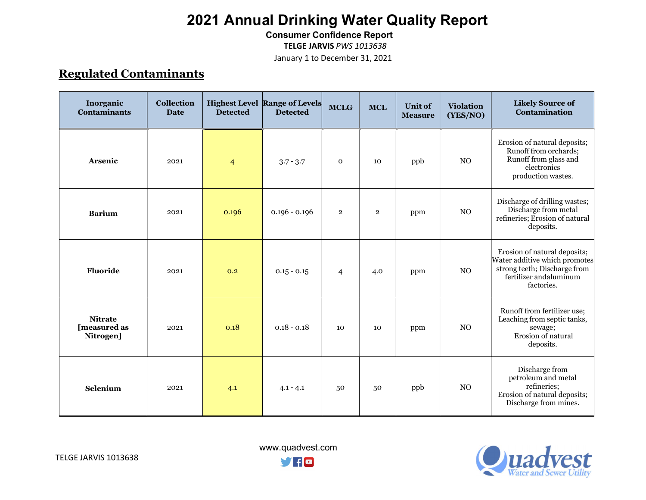Consumer Confidence Report

TELGE JARVIS PWS 1013638

January 1 to December 31, 2021

## Regulated Contaminants

| Inorganic<br><b>Contaminants</b>            | Collection<br><b>Date</b> | <b>Detected</b> | <b>Highest Level Range of Levels</b><br><b>Detected</b> | <b>MCLG</b>    | <b>MCL</b>     | <b>Unit of</b><br><b>Measure</b> | <b>Violation</b><br>(YES/NO) | <b>Likely Source of</b><br>Contamination                                                                                              |
|---------------------------------------------|---------------------------|-----------------|---------------------------------------------------------|----------------|----------------|----------------------------------|------------------------------|---------------------------------------------------------------------------------------------------------------------------------------|
| Arsenic                                     | 2021                      | $\overline{4}$  | $3.7 - 3.7$                                             | $\mathbf 0$    | 10             | ppb                              | N <sub>O</sub>               | Erosion of natural deposits;<br>Runoff from orchards;<br>Runoff from glass and<br>electronics<br>production wastes.                   |
| <b>Barium</b>                               | 2021                      | 0.196           | $0.196 - 0.196$                                         | $\overline{2}$ | $\overline{2}$ | ppm                              | NO                           | Discharge of drilling wastes;<br>Discharge from metal<br>refineries; Erosion of natural<br>deposits.                                  |
| <b>Fluoride</b>                             | 2021                      | 0.2             | $0.15 - 0.15$                                           | $\overline{4}$ | 4.0            | ppm                              | N <sub>O</sub>               | Erosion of natural deposits;<br>Water additive which promotes<br>strong teeth; Discharge from<br>fertilizer andaluminum<br>factories. |
| <b>Nitrate</b><br>[measured as<br>Nitrogen] | 2021                      | 0.18            | $0.18 - 0.18$                                           | 10             | 10             | ppm                              | N <sub>O</sub>               | Runoff from fertilizer use;<br>Leaching from septic tanks,<br>sewage;<br>Erosion of natural<br>deposits.                              |
| Selenium                                    | 2021                      | 4.1             | $4.1 - 4.1$                                             | 50             | 50             | ppb                              | N <sub>O</sub>               | Discharge from<br>petroleum and metal<br>refineries;<br>Erosion of natural deposits;<br>Discharge from mines.                         |



 www.quadvest.com **yno**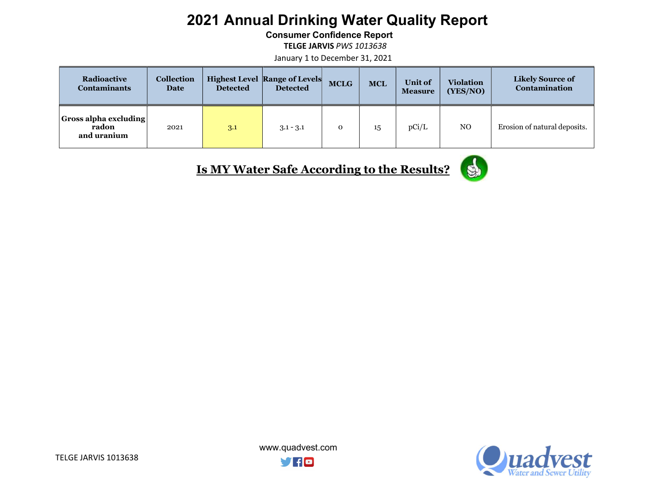Consumer Confidence Report

TELGE JARVIS PWS 1013638

January 1 to December 31, 2021

| Radioactive<br><b>Contaminants</b>                   | <b>Collection</b><br>Date | <b>Detected</b> | <b>Highest Level Range of Levels</b><br><b>Detected</b> | <b>MCLG</b> | <b>MCL</b> | <b>Unit of</b><br><b>Measure</b> | <b>Violation</b><br>(YES/NO) | <b>Likely Source of</b><br><b>Contamination</b> |
|------------------------------------------------------|---------------------------|-----------------|---------------------------------------------------------|-------------|------------|----------------------------------|------------------------------|-------------------------------------------------|
| <b>Gross alpha excluding</b><br>radon<br>and uranium | 2021                      | 3.1             | $3.1 - 3.1$                                             |             | 15         | pCi/L                            | N <sub>O</sub>               | Erosion of natural deposits.                    |

Is MY Water Safe According to the Results?





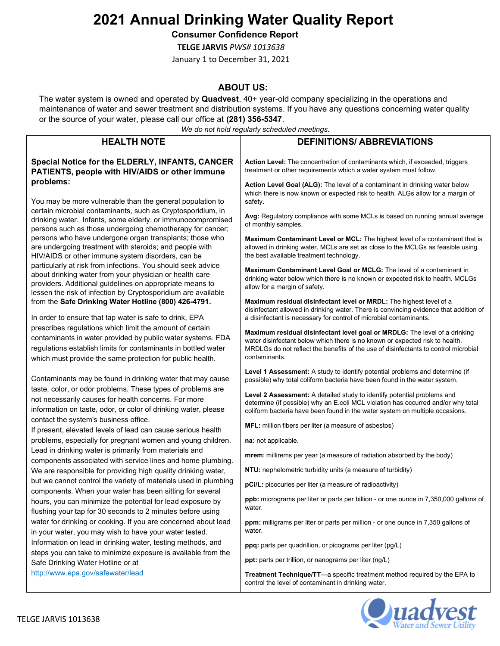Consumer Confidence Report

TELGE JARVIS PWS# 1013638

January 1 to December 31, 2021

### ABOUT US:

The water system is owned and operated by Quadvest, 40+ year-old company specializing in the operations and maintenance of water and sewer treatment and distribution systems. If you have any questions concerning water quality or the source of your water, please call our office at (281) 356-5347.

We do not hold regularly scheduled meetings.

|                                                                                                                                                                                                                                                        | we ao not noia regulariy scheauled meetings.                                                                                                                                                                                                                       |  |  |  |  |
|--------------------------------------------------------------------------------------------------------------------------------------------------------------------------------------------------------------------------------------------------------|--------------------------------------------------------------------------------------------------------------------------------------------------------------------------------------------------------------------------------------------------------------------|--|--|--|--|
| <b>HEALTH NOTE</b>                                                                                                                                                                                                                                     | <b>DEFINITIONS/ ABBREVIATIONS</b>                                                                                                                                                                                                                                  |  |  |  |  |
| Special Notice for the ELDERLY, INFANTS, CANCER<br>PATIENTS, people with HIV/AIDS or other immune                                                                                                                                                      | Action Level: The concentration of contaminants which, if exceeded, triggers<br>treatment or other requirements which a water system must follow.                                                                                                                  |  |  |  |  |
| problems:<br>You may be more vulnerable than the general population to                                                                                                                                                                                 | Action Level Goal (ALG): The level of a contaminant in drinking water below<br>which there is now known or expected risk to health. ALGs allow for a margin of<br>safety.                                                                                          |  |  |  |  |
| certain microbial contaminants, such as Cryptosporidium, in<br>drinking water. Infants, some elderly, or immunocompromised<br>persons such as those undergoing chemotherapy for cancer;                                                                | Avg: Regulatory compliance with some MCLs is based on running annual average<br>of monthly samples.                                                                                                                                                                |  |  |  |  |
| persons who have undergone organ transplants; those who<br>are undergoing treatment with steroids; and people with<br>HIV/AIDS or other immune system disorders, can be                                                                                | Maximum Contaminant Level or MCL: The highest level of a contaminant that is<br>allowed in drinking water. MCLs are set as close to the MCLGs as feasible using<br>the best available treatment technology.                                                        |  |  |  |  |
| particularly at risk from infections. You should seek advice<br>about drinking water from your physician or health care<br>providers. Additional guidelines on appropriate means to                                                                    | Maximum Contaminant Level Goal or MCLG: The level of a contaminant in<br>drinking water below which there is no known or expected risk to health. MCLGs<br>allow for a margin of safety.                                                                           |  |  |  |  |
| lessen the risk of infection by Cryptosporidium are available<br>from the Safe Drinking Water Hotline (800) 426-4791.<br>In order to ensure that tap water is safe to drink, EPA                                                                       | Maximum residual disinfectant level or MRDL: The highest level of a<br>disinfectant allowed in drinking water. There is convincing evidence that addition of<br>a disinfectant is necessary for control of microbial contaminants.                                 |  |  |  |  |
| prescribes regulations which limit the amount of certain<br>contaminants in water provided by public water systems. FDA<br>regulations establish limits for contaminants in bottled water<br>which must provide the same protection for public health. | Maximum residual disinfectant level goal or MRDLG: The level of a drinking<br>water disinfectant below which there is no known or expected risk to health.<br>MRDLGs do not reflect the benefits of the use of disinfectants to control microbial<br>contaminants. |  |  |  |  |
| Contaminants may be found in drinking water that may cause                                                                                                                                                                                             | Level 1 Assessment: A study to identify potential problems and determine (if<br>possible) why total coliform bacteria have been found in the water system.                                                                                                         |  |  |  |  |
| taste, color, or odor problems. These types of problems are<br>not necessarily causes for health concerns. For more<br>information on taste, odor, or color of drinking water, please                                                                  | Level 2 Assessment: A detailed study to identify potential problems and<br>determine (if possible) why an E.coli MCL violation has occurred and/or why total<br>coliform bacteria have been found in the water system on multiple occasions.                       |  |  |  |  |
| contact the system's business office.<br>If present, elevated levels of lead can cause serious health                                                                                                                                                  | MFL: million fibers per liter (a measure of asbestos)                                                                                                                                                                                                              |  |  |  |  |
| problems, especially for pregnant women and young children.                                                                                                                                                                                            | na: not applicable.                                                                                                                                                                                                                                                |  |  |  |  |
| Lead in drinking water is primarily from materials and<br>components associated with service lines and home plumbing.                                                                                                                                  | mrem: millirems per year (a measure of radiation absorbed by the body)                                                                                                                                                                                             |  |  |  |  |
| We are responsible for providing high quality drinking water,                                                                                                                                                                                          | NTU: nephelometric turbidity units (a measure of turbidity)                                                                                                                                                                                                        |  |  |  |  |
| but we cannot control the variety of materials used in plumbing<br>components. When your water has been sitting for several                                                                                                                            | pCi/L: picocuries per liter (a measure of radioactivity)                                                                                                                                                                                                           |  |  |  |  |
| hours, you can minimize the potential for lead exposure by<br>flushing your tap for 30 seconds to 2 minutes before using                                                                                                                               | <b>ppb:</b> micrograms per liter or parts per billion - or one ounce in 7,350,000 gallons of<br>water.                                                                                                                                                             |  |  |  |  |
| water for drinking or cooking. If you are concerned about lead<br>in your water, you may wish to have your water tested.                                                                                                                               | ppm: milligrams per liter or parts per million - or one ounce in 7,350 gallons of<br>water.                                                                                                                                                                        |  |  |  |  |
| Information on lead in drinking water, testing methods, and                                                                                                                                                                                            | ppq: parts per quadrillion, or picograms per liter (pg/L)                                                                                                                                                                                                          |  |  |  |  |
| steps you can take to minimize exposure is available from the<br>Safe Drinking Water Hotline or at                                                                                                                                                     | ppt: parts per trillion, or nanograms per liter (ng/L)                                                                                                                                                                                                             |  |  |  |  |
| http://www.epa.gov/safewater/lead                                                                                                                                                                                                                      | Treatment Technique/TT-a specific treatment method required by the EPA to<br>control the level of contaminant in drinking water.                                                                                                                                   |  |  |  |  |

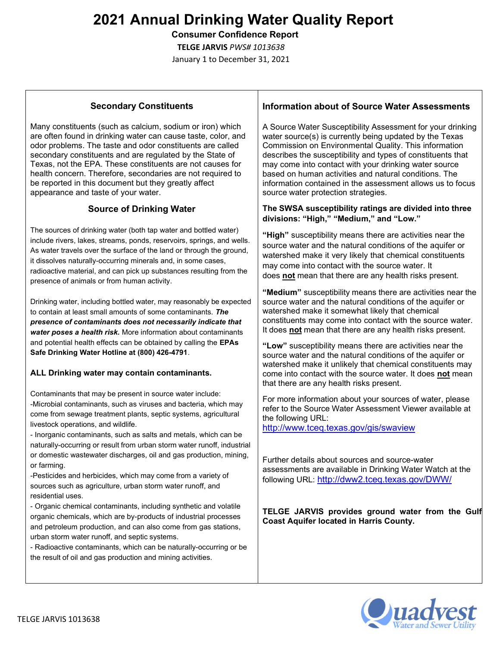Consumer Confidence Report

TELGE JARVIS PWS# 1013638

January 1 to December 31, 2021

### Secondary Constituents

Many constituents (such as calcium, sodium or iron) which are often found in drinking water can cause taste, color, and odor problems. The taste and odor constituents are called secondary constituents and are regulated by the State of Texas, not the EPA. These constituents are not causes for health concern. Therefore, secondaries are not required to be reported in this document but they greatly affect appearance and taste of your water.

### Source of Drinking Water

The sources of drinking water (both tap water and bottled water) include rivers, lakes, streams, ponds, reservoirs, springs, and wells. As water travels over the surface of the land or through the ground, it dissolves naturally-occurring minerals and, in some cases, radioactive material, and can pick up substances resulting from the presence of animals or from human activity.

Drinking water, including bottled water, may reasonably be expected to contain at least small amounts of some contaminants. The presence of contaminants does not necessarily indicate that water poses a health risk. More information about contaminants and potential health effects can be obtained by calling the EPAs Safe Drinking Water Hotline at (800) 426-4791.

#### ALL Drinking water may contain contaminants.

Contaminants that may be present in source water include: -Microbial contaminants, such as viruses and bacteria, which may come from sewage treatment plants, septic systems, agricultural livestock operations, and wildlife.

- Inorganic contaminants, such as salts and metals, which can be naturally-occurring or result from urban storm water runoff, industrial or domestic wastewater discharges, oil and gas production, mining, or farming.

-Pesticides and herbicides, which may come from a variety of sources such as agriculture, urban storm water runoff, and residential uses.

- Organic chemical contaminants, including synthetic and volatile organic chemicals, which are by-products of industrial processes and petroleum production, and can also come from gas stations, urban storm water runoff, and septic systems.

- Radioactive contaminants, which can be naturally-occurring or be the result of oil and gas production and mining activities.

#### Information about of Source Water Assessments

A Source Water Susceptibility Assessment for your drinking water source(s) is currently being updated by the Texas Commission on Environmental Quality. This information describes the susceptibility and types of constituents that may come into contact with your drinking water source based on human activities and natural conditions. The information contained in the assessment allows us to focus source water protection strategies.

#### The SWSA susceptibility ratings are divided into three divisions: "High," "Medium," and "Low."

"High" susceptibility means there are activities near the source water and the natural conditions of the aquifer or watershed make it very likely that chemical constituents may come into contact with the source water. It does not mean that there are any health risks present.

"Medium" susceptibility means there are activities near the source water and the natural conditions of the aquifer or watershed make it somewhat likely that chemical constituents may come into contact with the source water. It does not mean that there are any health risks present.

"Low" susceptibility means there are activities near the source water and the natural conditions of the aquifer or watershed make it unlikely that chemical constituents may come into contact with the source water. It does not mean that there are any health risks present.

For more information about your sources of water, please refer to the Source Water Assessment Viewer available at the following URL:

http://www.tceq.texas.gov/gis/swaview

Further details about sources and source-water assessments are available in Drinking Water Watch at the following URL: http://dww2.tceq.texas.gov/DWW/

TELGE JARVIS provides ground water from the Gulf Coast Aquifer located in Harris County.